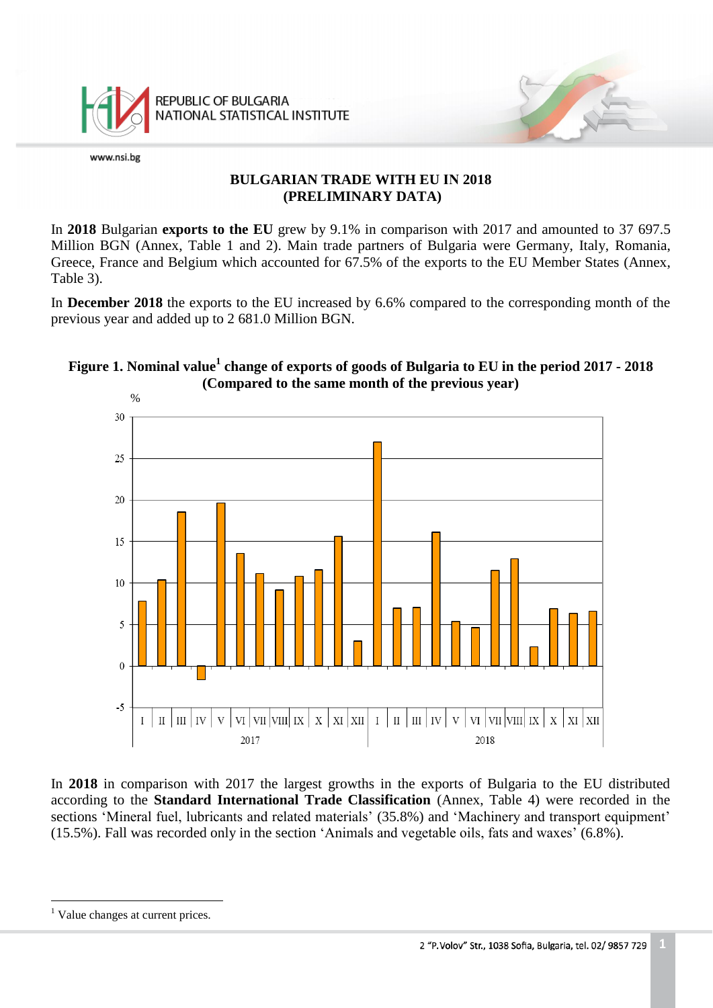

### **BULGARIAN TRADE WITH EU IN 2018 (PRELIMINARY DATA)**

In **2018** Bulgarian **exports to the EU** grew by 9.1% in comparison with 2017 and amounted to 37 697.5 Million BGN (Annex, Table 1 and 2). Main trade partners of Bulgaria were Germany, Italy, Romania, Greece, France and Belgium which accounted for 67.5% of the exports to the EU Member States (Annex, Table 3).

In **December 2018** the exports to the EU increased by 6.6% compared to the corresponding month of the previous year and added up to 2 681.0 Million BGN.





In **2018** in comparison with 2017 the largest growths in the exports of Bulgaria to the EU distributed according to the **Standard International Trade Classification** (Annex, Table 4) were recorded in the sections 'Mineral fuel, lubricants and related materials' (35.8%) and 'Machinery and transport equipment' (15.5%). Fall was recorded only in the section 'Animals and vegetable oils, fats and waxes' (6.8%).

a<br>B

<sup>&</sup>lt;sup>1</sup> Value changes at current prices.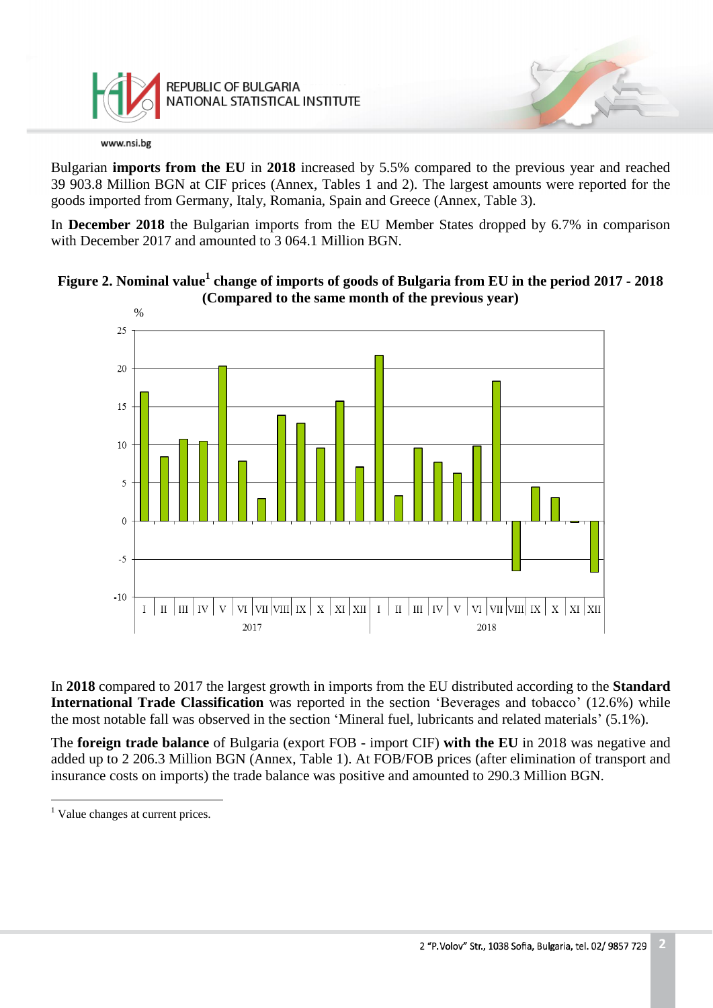

Bulgarian **imports from the EU** in **2018** increased by 5.5% compared to the previous year and reached 39 903.8 Million BGN at CIF prices (Annex, Tables 1 and 2). The largest amounts were reported for the goods imported from Germany, Italy, Romania, Spain and Greece (Annex, Table 3).

In **December 2018** the Bulgarian imports from the EU Member States dropped by 6.7% in comparison with December 2017 and amounted to 3 064.1 Million BGN.





In **2018** compared to 2017 the largest growth in imports from the EU distributed according to the **Standard International Trade Classification** was reported in the section 'Beverages and tobacco' (12.6%) while the most notable fall was observed in the section 'Mineral fuel, lubricants and related materials' (5.1%).

The **foreign trade balance** of Bulgaria (export FOB - import CIF) **with the EU** in 2018 was negative and added up to 2 206.3 Million BGN (Annex, Table 1). At FOB/FOB prices (after elimination of transport and insurance costs on imports) the trade balance was positive and amounted to 290.3 Million BGN.

a<br>B

<sup>&</sup>lt;sup>1</sup> Value changes at current prices.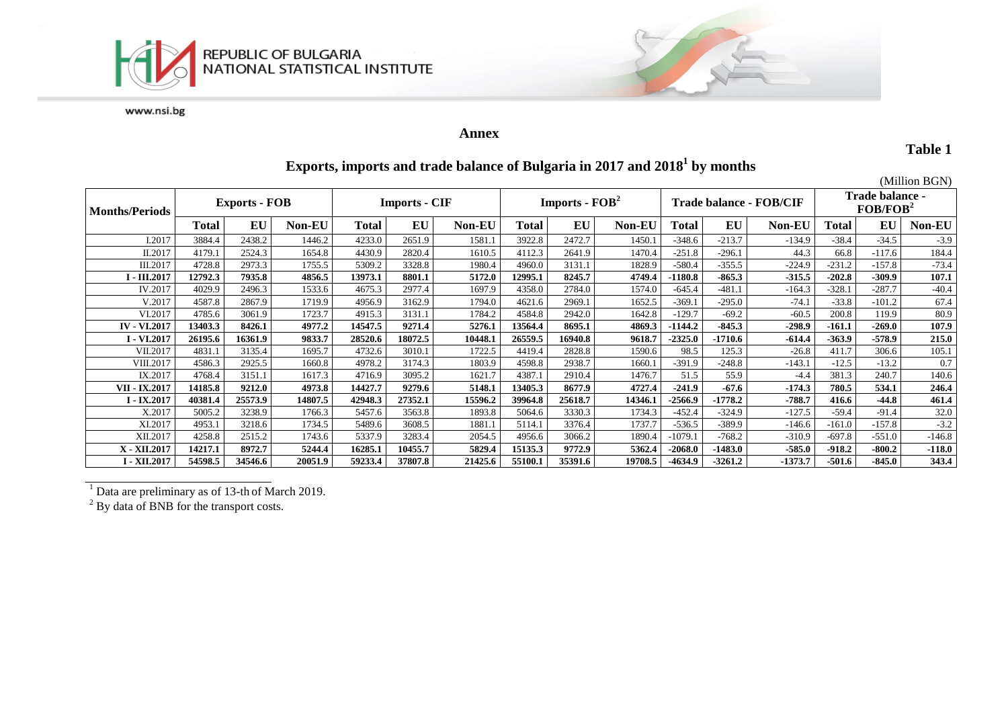



### **Annex**

**Table 1**

# **Exports, imports and trade balance of Bulgaria in 2017 and 2018 1 by months**

|                       |                      |         |         |                      |         |         |                                    |         |         |                         |           |               |                                         |          | (Million BGN) |
|-----------------------|----------------------|---------|---------|----------------------|---------|---------|------------------------------------|---------|---------|-------------------------|-----------|---------------|-----------------------------------------|----------|---------------|
| <b>Months/Periods</b> | <b>Exports - FOB</b> |         |         | <b>Imports - CIF</b> |         |         | <b>Imports - <math>FOB2</math></b> |         |         | Trade balance - FOB/CIF |           |               | Trade balance -<br>FOB/FOB <sup>2</sup> |          |               |
|                       | <b>Total</b>         | EU      | Non-EU  | <b>Total</b>         | EU      | Non-EU  | <b>Total</b>                       | EU      | Non-EU  | <b>Total</b>            | EU        | <b>Non-EU</b> | <b>Total</b>                            | EU       | Non-EU        |
| I.2017                | 3884.4               | 2438.2  | 1446.2  | 4233.0               | 2651.9  | 1581.1  | 3922.8                             | 2472.7  | 1450.1  | $-348.6$                | $-213.7$  | $-134.9$      | $-38.4$                                 | $-34.5$  | $-3.9$        |
| II.2017               | 4179.1               | 2524.3  | 1654.8  | 4430.9               | 2820.4  | 1610.5  | 4112.3                             | 2641.9  | 1470.4  | $-251.8$                | $-296.1$  | 44.3          | 66.8                                    | $-117.6$ | 184.4         |
| III.2017              | 4728.8               | 2973.3  | 1755.5  | 5309.2               | 3328.8  | 1980.4  | 4960.0                             | 3131.1  | 1828.9  | $-580.4$                | $-355.5$  | $-224.9$      | $-231.2$                                | $-157.8$ | $-73.4$       |
| <b>1 - III.2017</b>   | 12792.3              | 7935.8  | 4856.5  | 13973.1              | 8801.1  | 5172.0  | 12995.1                            | 8245.7  | 4749.4  | 1180.8                  | $-865.3$  | $-315.5$      | $-202.8$                                | $-309.9$ | 107.1         |
| IV.2017               | 4029.9               | 2496.3  | 1533.6  | 4675.3               | 2977.4  | 1697.9  | 4358.0                             | 2784.0  | 1574.0  | $-645.4$                | $-481.1$  | $-164.3$      | $-328.1$                                | $-287.7$ | $-40.4$       |
| V.2017                | 4587.8               | 2867.9  | 1719.9  | 4956.9               | 3162.9  | 1794.0  | 4621.6                             | 2969.   | 1652.5  | $-369.1$                | $-295.0$  | $-74.1$       | $-33.8$                                 | $-101.2$ | 67.4          |
| VI.2017               | 4785.6               | 3061.9  | 1723.7  | 4915.3               | 3131.   | 1784.2  | 4584.8                             | 2942.0  | 1642.8  | $-129.7$                | $-69.2$   | $-60.5$       | 200.8                                   | 119.9    | 80.9          |
| <b>IV - VI.2017</b>   | 13403.3              | 8426.1  | 4977.2  | 14547.5              | 9271.4  | 5276.1  | 13564.4                            | 8695.1  | 4869.3  | $-1144.2$               | $-845.3$  | $-298.9$      | $-161.1$                                | $-269.0$ | 107.9         |
| I - VI.2017           | 26195.6              | 16361.9 | 9833.7  | 28520.6              | 18072.5 | 10448.1 | 26559.5                            | 16940.8 | 9618.7  | $-2325.0$               | $-1710.6$ | $-614.4$      | $-363.9$                                | $-578.9$ | 215.0         |
| VII.2017              | 4831.                | 3135.4  | 1695.7  | 4732.6               | 3010.   | 1722.5  | 4419.4                             | 2828.8  | 1590.6  | 98.5                    | 125.3     | $-26.8$       | 411.7                                   | 306.6    | 105.1         |
| VIII.2017             | 4586.3               | 2925.5  | 1660.8  | 4978.2               | 3174.3  | 1803.9  | 4598.8                             | 2938.7  | 1660.1  | $-391.9$                | $-248.8$  | $-143.1$      | $-12.5$                                 | $-13.2$  | 0.7           |
| IX.2017               | 4768.4               | 3151.1  | 1617.3  | 4716.9               | 3095.2  | 1621.7  | 4387.1                             | 2910.4  | 1476.7  | 51.5                    | 55.9      | $-4.4$        | 381.3                                   | 240.7    | 140.6         |
| VII - IX.2017         | 14185.8              | 9212.0  | 4973.8  | 14427.7              | 9279.6  | 5148.1  | 13405.3                            | 8677.9  | 4727.4  | $-241.9$                | $-67.6$   | $-174.3$      | 780.5                                   | 534.1    | 246.4         |
| $I - IX.2017$         | 40381.4              | 25573.9 | 14807.5 | 42948.3              | 27352.1 | 15596.2 | 39964.8                            | 25618.7 | 14346.1 | $-2566.9$               | $-1778.2$ | $-788.7$      | 416.6                                   | $-44.8$  | 461.4         |
| X.2017                | 5005.2               | 3238.9  | 1766.3  | 5457.6               | 3563.8  | 1893.8  | 5064.6                             | 3330.3  | 1734.3  | $-452.4$                | $-324.9$  | $-127.5$      | $-59.4$                                 | $-91.4$  | 32.0          |
| XI.2017               | 4953.1               | 3218.6  | 1734.5  | 5489.6               | 3608.5  | 1881.1  | 5114.1                             | 3376.4  | 1737.7  | $-536.5$                | $-389.9$  | $-146.6$      | $-161.0$                                | $-157.8$ | $-3.2$        |
| XII.2017              | 4258.8               | 2515.2  | 1743.6  | 5337.9               | 3283.4  | 2054.5  | 4956.6                             | 3066.2  | 1890.4  | $-1079.1$               | $-768.2$  | $-310.9$      | $-697.8$                                | $-551.0$ | $-146.8$      |
| X - XII.2017          | 14217.1              | 8972.7  | 5244.4  | 16285.1              | 10455.7 | 5829.4  | 15135.3                            | 9772.9  | 5362.4  | $-2068.0$               | $-1483.0$ | $-585.0$      | $-918.2$                                | $-800.2$ | $-118.0$      |
| I - XII.2017          | 54598.5              | 34546.6 | 20051.9 | 59233.4              | 37807.8 | 21425.6 | 55100.1                            | 35391.6 | 19708.5 | -4634.9                 | $-3261.2$ | $-1373.7$     | $-501.6$                                | $-845.0$ | 343.4         |

 $1$  Data are preliminary as of 13-th of March 2019.

 $2^{2}$  By data of BNB for the transport costs.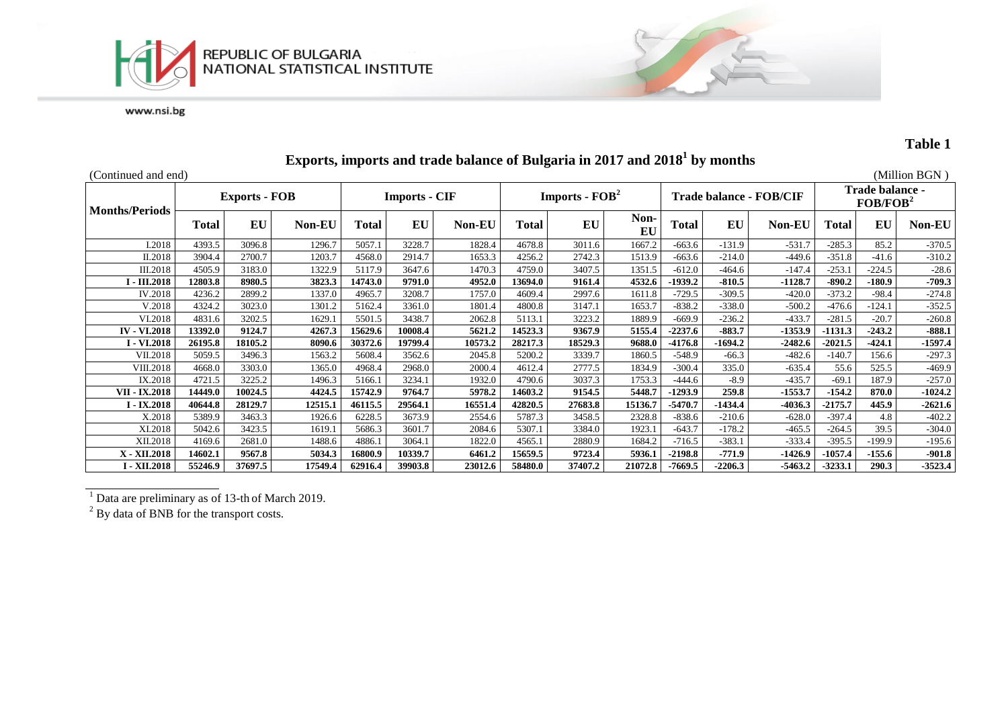



## **Table 1**

| (Continued and end)   |                      |         |               |                      |         |               |                                    |         |            |                                |           |               |                                                |          | (Million BGN) |
|-----------------------|----------------------|---------|---------------|----------------------|---------|---------------|------------------------------------|---------|------------|--------------------------------|-----------|---------------|------------------------------------------------|----------|---------------|
|                       | <b>Exports - FOB</b> |         |               | <b>Imports - CIF</b> |         |               | <b>Imports - <math>FOB2</math></b> |         |            | <b>Trade balance - FOB/CIF</b> |           |               | <b>Trade balance -</b><br>FOB/FOB <sup>2</sup> |          |               |
| <b>Months/Periods</b> | Total                | EU      | <b>Non-EU</b> | <b>Total</b>         | EU      | <b>Non-EU</b> | Total                              | EU      | Non-<br>EU | Total                          | EU        | <b>Non-EU</b> | <b>Total</b>                                   | EU       | Non-EU        |
| I.2018                | 4393.5               | 3096.8  | 1296.7        | 5057.1               | 3228.7  | 1828.4        | 4678.8                             | 3011.6  | 1667.2     | $-663.6$                       | $-131.9$  | $-531.7$      | $-285.3$                                       | 85.2     | $-370.5$      |
| II.2018               | 3904.4               | 2700.7  | 1203.7        | 4568.0               | 2914.7  | 1653.3        | 4256.2                             | 2742.3  | 1513.9     | $-663.6$                       | $-214.0$  | $-449.6$      | $-351.8$                                       | $-41.6$  | $-310.2$      |
| III.2018              | 4505.9               | 3183.0  | 1322.9        | 5117.9               | 3647.6  | 1470.3        | 4759.0                             | 3407.5  | 1351.5     | $-612.0$                       | -464.6    | $-147.4$      | $-253.1$                                       | $-224.5$ | $-28.6$       |
| $-III.2018$           | 12803.8              | 8980.5  | 3823.3        | 14743.0              | 9791.0  | 4952.0        | 13694.0                            | 9161.4  | 4532.6     | $-1939.2$                      | $-810.5$  | $-1128.7$     | $-890.2$                                       | $-180.9$ | $-709.3$      |
| IV.2018               | 4236.2               | 2899.2  | 1337.0        | 4965.7               | 3208.7  | 1757.0        | 4609.4                             | 2997.6  | 1611.8     | $-729.5$                       | $-309.5$  | $-420.0$      | $-373.2$                                       | $-98.4$  | $-274.8$      |
| V.2018                | 4324.2               | 3023.0  | 1301.2        | 5162.4               | 3361.0  | 1801.4        | 4800.8                             | 3147.1  | 1653.7     | $-838.2$                       | $-338.0$  | $-500.2$      | $-476.6$                                       | $-124.1$ | $-352.5$      |
| VI.2018               | 4831.6               | 3202.5  | 1629.         | 5501.5               | 3438.7  | 2062.8        | 5113.1                             | 3223.2  | 1889.9     | $-669.9$                       | $-236.2$  | $-433.7$      | $-281.5$                                       | $-20.7$  | $-260.8$      |
| <b>IV - VI.2018</b>   | 13392.0              | 9124.7  | 4267.3        | 15629.6              | 10008.4 | 5621.2        | 14523.3                            | 9367.9  | 5155.4     | $-2237.6$                      | $-883.7$  | $-1353.9$     | $-1131.3$                                      | $-243.2$ | $-888.1$      |
| <b>I</b> - VI.2018    | 26195.8              | 18105.2 | 8090.6        | 30372.6              | 19799.4 | 10573.2       | 28217.3                            | 18529.3 | 9688.0     | $-4176.8$                      | 1694.2    | $-2482.6$     | $-2021.5$                                      | $-424.1$ | $-1597.4$     |
| VII.2018              | 5059.5               | 3496.3  | 1563.2        | 5608.4               | 3562.6  | 2045.8        | 5200.2                             | 3339.7  | 1860.5     | $-548.9$                       | $-66.3$   | $-482.6$      | $-140.7$                                       | 156.6    | $-297.3$      |
| VIII.2018             | 4668.0               | 3303.0  | 1365.0        | 4968.4               | 2968.0  | 2000.4        | 4612.4                             | 2777.5  | 1834.9     | $-300.4$                       | 335.0     | $-635.4$      | 55.6                                           | 525.5    | $-469.9$      |
| IX.2018               | 4721.5               | 3225.2  | 1496.3        | 5166.1               | 3234.1  | 1932.0        | 4790.6                             | 3037.3  | 1753.3     | -444.6                         | $-8.9$    | $-435.7$      | $-69.1$                                        | 187.9    | $-257.0$      |
| VII - IX.2018         | 14449.0              | 10024.5 | 4424.5        | 15742.9              | 9764.7  | 5978.2        | 14603.2                            | 9154.5  | 5448.7     | $-1293.9$                      | 259.8     | $-1553.7$     | $-154.2$                                       | 870.0    | $-1024.2$     |
| $I - IX.2018$         | 40644.8              | 28129.7 | 12515.1       | 46115.5              | 29564.1 | 16551.4       | 42820.5                            | 27683.8 | 15136.7    | $-5470.7$                      | -1434.4   | $-4036.3$     | $-2175.7$                                      | 445.9    | $-2621.6$     |
| X.2018                | 5389.9               | 3463.3  | 1926.6        | 6228.5               | 3673.9  | 2554.6        | 5787.3                             | 3458.5  | 2328.8     | $-838.6$                       | $-210.6$  | $-628.0$      | $-397.4$                                       | 4.8      | $-402.2$      |
| XI.2018               | 5042.6               | 3423.5  | 1619.1        | 5686.3               | 3601.7  | 2084.6        | 5307.1                             | 3384.0  | 1923.1     | $-643.7$                       | $-178.2$  | $-465.5$      | $-264.5$                                       | 39.5     | $-304.0$      |
| XII.2018              | 4169.6               | 2681.0  | 1488.6        | 4886.1               | 3064.1  | 1822.0        | 4565.1                             | 2880.9  | 1684.2     | $-716.5$                       | $-383.1$  | $-333.4$      | $-395.5$                                       | $-199.9$ | $-195.6$      |
| X - XII.2018          | 14602.1              | 9567.8  | 5034.3        | 16800.9              | 10339.7 | 6461.2        | 15659.5                            | 9723.4  | 5936.1     | $-2198.8$                      | -771.9    | $-1426.9$     | $-1057.4$                                      | $-155.6$ | $-901.8$      |
| I - XII.2018          | 55246.9              | 37697.5 | 17549.4       | 62916.4              | 39903.8 | 23012.6       | 58480.0                            | 37407.2 | 21072.8    | $-7669.5$                      | $-2206.3$ | $-5463.2$     | $-3233.1$                                      | 290.3    | $-3523.4$     |

# **Exports, imports and trade balance of Bulgaria in 2017 and 2018 1 by months**

<sup>1</sup> Data are preliminary as of 13-th of March 2019.

 $2^{2}$  By data of BNB for the transport costs.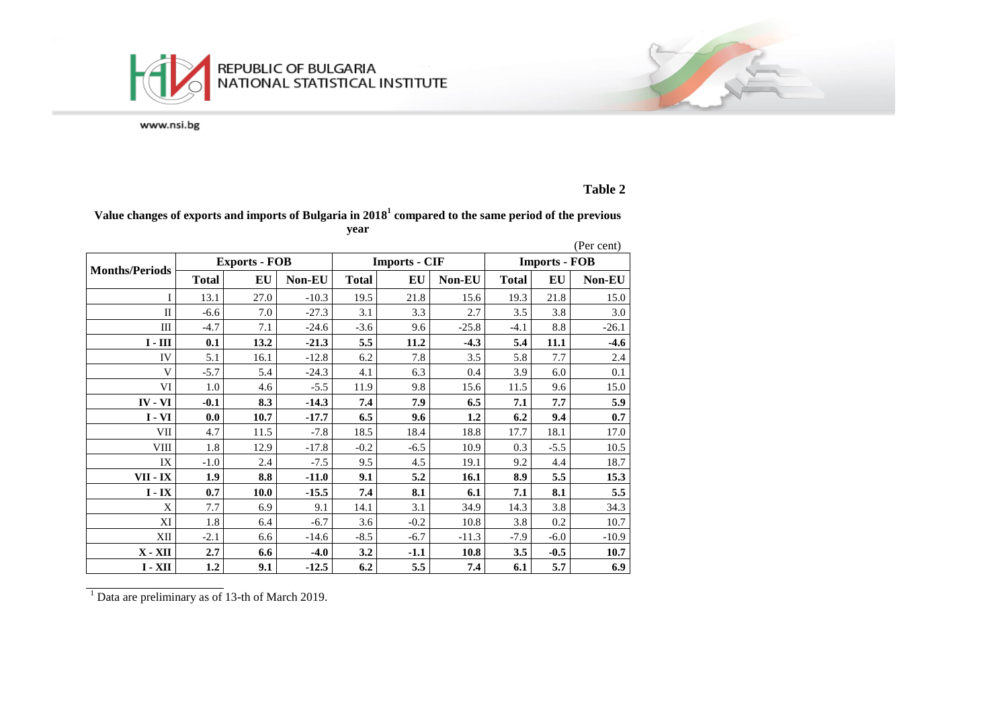

## **Table 2**

### **Value changes of exports and imports of Bulgaria in 2018 1 compared to the same period of the previous year**

|                       |              |                      |               |              |                      |         |                      |        | (Per cent) |  |
|-----------------------|--------------|----------------------|---------------|--------------|----------------------|---------|----------------------|--------|------------|--|
|                       |              | <b>Exports - FOB</b> |               |              | <b>Imports - CIF</b> |         | <b>Imports - FOB</b> |        |            |  |
| <b>Months/Periods</b> | <b>Total</b> | EU                   | <b>Non-EU</b> | <b>Total</b> | EU                   | Non-EU  | <b>Total</b>         | EU     | Non-EU     |  |
| I                     | 13.1         | 27.0                 | $-10.3$       | 19.5         | 21.8                 | 15.6    | 19.3                 | 21.8   | 15.0       |  |
| $\mathbf{I}$          | $-6.6$       | 7.0                  | $-27.3$       | 3.1          | 3.3                  | 2.7     | 3.5                  | 3.8    | 3.0        |  |
| III                   | $-4.7$       | 7.1                  | $-24.6$       | $-3.6$       | 9.6                  | $-25.8$ | $-4.1$               | 8.8    | $-26.1$    |  |
| $I - III$             | 0.1          | 13.2                 | $-21.3$       | 5.5          | 11.2                 | $-4.3$  | 5.4                  | 11.1   | $-4.6$     |  |
| IV                    | 5.1          | 16.1                 | $-12.8$       | 6.2          | 7.8                  | 3.5     | 5.8                  | 7.7    | 2.4        |  |
| V                     | $-5.7$       | 5.4                  | $-24.3$       | 4.1          | 6.3                  | 0.4     | 3.9                  | 6.0    | 0.1        |  |
| VI                    | 1.0          | 4.6                  | $-5.5$        | 11.9         | 9.8                  | 15.6    | 11.5                 | 9.6    | 15.0       |  |
| <b>IV</b> - VI        | $-0.1$       | 8.3                  | $-14.3$       | 7.4          | 7.9                  | 6.5     | 7.1                  | 7.7    | 5.9        |  |
| $I - VI$              | 0.0          | 10.7                 | $-17.7$       | 6.5          | 9.6                  | 1.2     | 6.2                  | 9.4    | 0.7        |  |
| <b>VII</b>            | 4.7          | 11.5                 | $-7.8$        | 18.5         | 18.4                 | 18.8    | 17.7                 | 18.1   | 17.0       |  |
| <b>VIII</b>           | 1.8          | 12.9                 | $-17.8$       | $-0.2$       | $-6.5$               | 10.9    | 0.3                  | $-5.5$ | 10.5       |  |
| IX                    | $-1.0$       | 2.4                  | $-7.5$        | 9.5          | 4.5                  | 19.1    | 9.2                  | 4.4    | 18.7       |  |
| VII - IX              | 1.9          | 8.8                  | $-11.0$       | 9.1          | 5.2                  | 16.1    | 8.9                  | 5.5    | 15.3       |  |
| $I - IX$              | 0.7          | 10.0                 | $-15.5$       | 7.4          | 8.1                  | 6.1     | 7.1                  | 8.1    | 5.5        |  |
| X                     | 7.7          | 6.9                  | 9.1           | 14.1         | 3.1                  | 34.9    | 14.3                 | 3.8    | 34.3       |  |
| XI                    | 1.8          | 6.4                  | $-6.7$        | 3.6          | $-0.2$               | 10.8    | 3.8                  | 0.2    | 10.7       |  |
| XII                   | $-2.1$       | 6.6                  | $-14.6$       | $-8.5$       | $-6.7$               | $-11.3$ | $-7.9$               | $-6.0$ | $-10.9$    |  |
| $X - XII$             | 2.7          | 6.6                  | $-4.0$        | 3.2          | $-1.1$               | 10.8    | 3.5                  | $-0.5$ | 10.7       |  |
| $I - XII$             | 1.2          | 9.1                  | $-12.5$       | 6.2          | 5.5                  | 7.4     | 6.1                  | 5.7    | 6.9        |  |

 $\frac{1}{1}$  Data are preliminary as of 13-th of March 2019.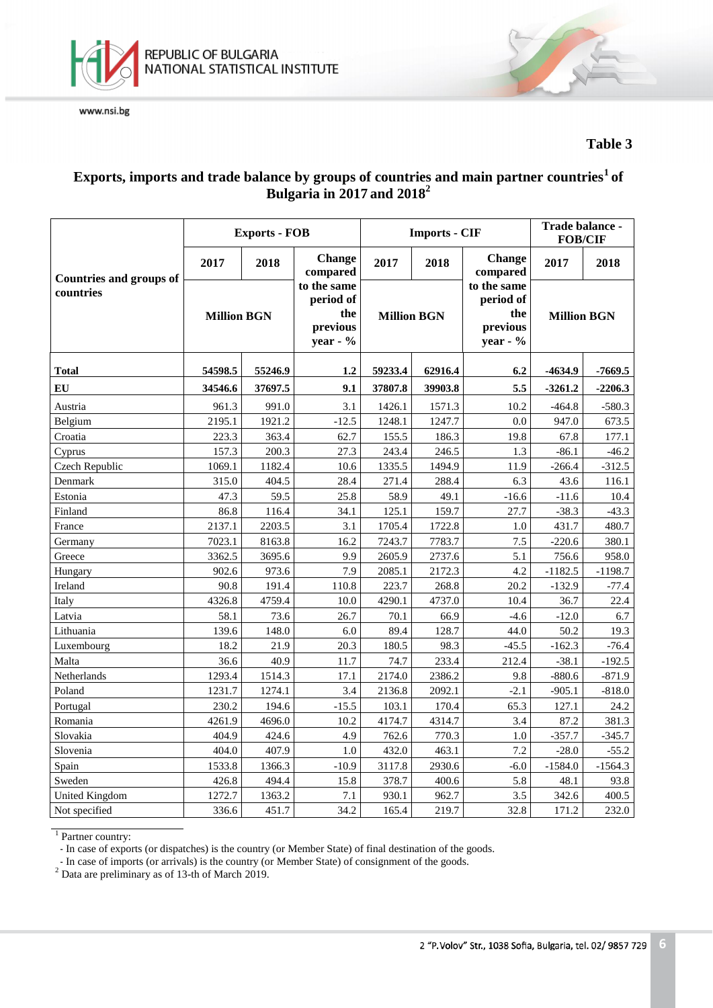



**Table 3**

## **Exports, imports and trade balance by groups of countries and main partner countries<sup>1</sup>of Bulgaria in 2017 and 2018 2**

|                                |                    | <b>Exports - FOB</b> |                                                           |                    | <b>Imports - CIF</b> | Trade balance -<br><b>FOB/CIF</b>                         |                    |           |
|--------------------------------|--------------------|----------------------|-----------------------------------------------------------|--------------------|----------------------|-----------------------------------------------------------|--------------------|-----------|
| <b>Countries and groups of</b> | 2017               | 2018                 | Change<br>compared                                        | 2017               | 2018                 | Change<br>compared                                        | 2017               | 2018      |
| countries                      | <b>Million BGN</b> |                      | to the same<br>period of<br>the<br>previous<br>year - $%$ | <b>Million BGN</b> |                      | to the same<br>period of<br>the<br>previous<br>year - $%$ | <b>Million BGN</b> |           |
| <b>Total</b>                   | 54598.5            | 55246.9              | 1.2                                                       | 59233.4            | 62916.4              | 6.2                                                       | $-4634.9$          | $-7669.5$ |
| EU                             | 34546.6            | 37697.5              | 9.1                                                       | 37807.8            | 39903.8              | 5.5                                                       | $-3261.2$          | $-2206.3$ |
| Austria                        | 961.3              | 991.0                | 3.1                                                       | 1426.1             | 1571.3               | 10.2                                                      | $-464.8$           | $-580.3$  |
| Belgium                        | 2195.1             | 1921.2               | $-12.5$                                                   | 1248.1             | 1247.7               | 0.0                                                       | 947.0              | 673.5     |
| Croatia                        | 223.3              | 363.4                | 62.7                                                      | 155.5              | 186.3                | 19.8                                                      | 67.8               | 177.1     |
| Cyprus                         | 157.3              | 200.3                | 27.3                                                      | 243.4              | 246.5                | 1.3                                                       | $-86.1$            | $-46.2$   |
| Czech Republic                 | 1069.1             | 1182.4               | 10.6                                                      | 1335.5             | 1494.9               | 11.9                                                      | $-266.4$           | $-312.5$  |
| Denmark                        | 315.0              | 404.5                | 28.4                                                      | 271.4              | 288.4                | 6.3                                                       | 43.6               | 116.1     |
| Estonia                        | 47.3               | 59.5                 | 25.8                                                      | 58.9               | 49.1                 | $-16.6$                                                   | $-11.6$            | 10.4      |
| Finland                        | 86.8               | 116.4                | 34.1                                                      | 125.1              | 159.7                | 27.7                                                      | $-38.3$            | $-43.3$   |
| France                         | 2137.1             | 2203.5               | 3.1                                                       | 1705.4             | 1722.8               | 1.0                                                       | 431.7              | 480.7     |
| Germany                        | 7023.1             | 8163.8               | 16.2                                                      | 7243.7             | 7783.7               | 7.5                                                       | $-220.6$           | 380.1     |
| Greece                         | 3362.5             | 3695.6               | 9.9                                                       | 2605.9             | 2737.6               | 5.1                                                       | 756.6              | 958.0     |
| Hungary                        | 902.6              | 973.6                | 7.9                                                       | 2085.1             | 2172.3               | 4.2                                                       | $-1182.5$          | $-1198.7$ |
| Ireland                        | 90.8               | 191.4                | 110.8                                                     | 223.7              | 268.8                | 20.2                                                      | $-132.9$           | $-77.4$   |
| Italy                          | 4326.8             | 4759.4               | 10.0                                                      | 4290.1             | 4737.0               | 10.4                                                      | 36.7               | 22.4      |
| Latvia                         | 58.1               | 73.6                 | 26.7                                                      | 70.1               | 66.9                 | $-4.6$                                                    | $-12.0$            | 6.7       |
| Lithuania                      | 139.6              | 148.0                | 6.0                                                       | 89.4               | 128.7                | 44.0                                                      | 50.2               | 19.3      |
| Luxembourg                     | 18.2               | 21.9                 | 20.3                                                      | 180.5              | 98.3                 | $-45.5$                                                   | $-162.3$           | $-76.4$   |
| Malta                          | 36.6               | 40.9                 | 11.7                                                      | 74.7               | 233.4                | 212.4                                                     | $-38.1$            | $-192.5$  |
| Netherlands                    | 1293.4             | 1514.3               | 17.1                                                      | 2174.0             | 2386.2               | 9.8                                                       | $-880.6$           | $-871.9$  |
| Poland                         | 1231.7             | 1274.1               | 3.4                                                       | 2136.8             | 2092.1               | $-2.1$                                                    | $-905.1$           | $-818.0$  |
| Portugal                       | 230.2              | 194.6                | $-15.5$                                                   | 103.1              | 170.4                | 65.3                                                      | 127.1              | 24.2      |
| Romania                        | 4261.9             | 4696.0               | 10.2                                                      | 4174.7             | 4314.7               | 3.4                                                       | 87.2               | 381.3     |
| Slovakia                       | 404.9              | 424.6                | 4.9                                                       | 762.6              | 770.3                | 1.0                                                       | $-357.7$           | $-345.7$  |
| Slovenia                       | 404.0              | 407.9                | 1.0                                                       | 432.0              | 463.1                | 7.2                                                       | $-28.0$            | $-55.2$   |
| Spain                          | 1533.8             | 1366.3               | $-10.9$                                                   | 3117.8             | 2930.6               | $-6.0$                                                    | $-1584.0$          | $-1564.3$ |
| Sweden                         | 426.8              | 494.4                | 15.8                                                      | 378.7              | 400.6                | 5.8                                                       | 48.1               | 93.8      |
| United Kingdom                 | 1272.7             | 1363.2               | 7.1                                                       | 930.1              | 962.7                | 3.5                                                       | 342.6              | 400.5     |
| Not specified                  | 336.6              | 451.7                | 34.2                                                      | 165.4              | 219.7                | 32.8                                                      | 171.2              | 232.0     |

<sup>1</sup> Partner country:

- In case of exports (or dispatches) is the country (or Member State) of final destination of the goods.

- In case of imports (or arrivals) is the country (or Member State) of consignment of the goods.

 $2^{2}$  Data are preliminary as of 13-th of March 2019.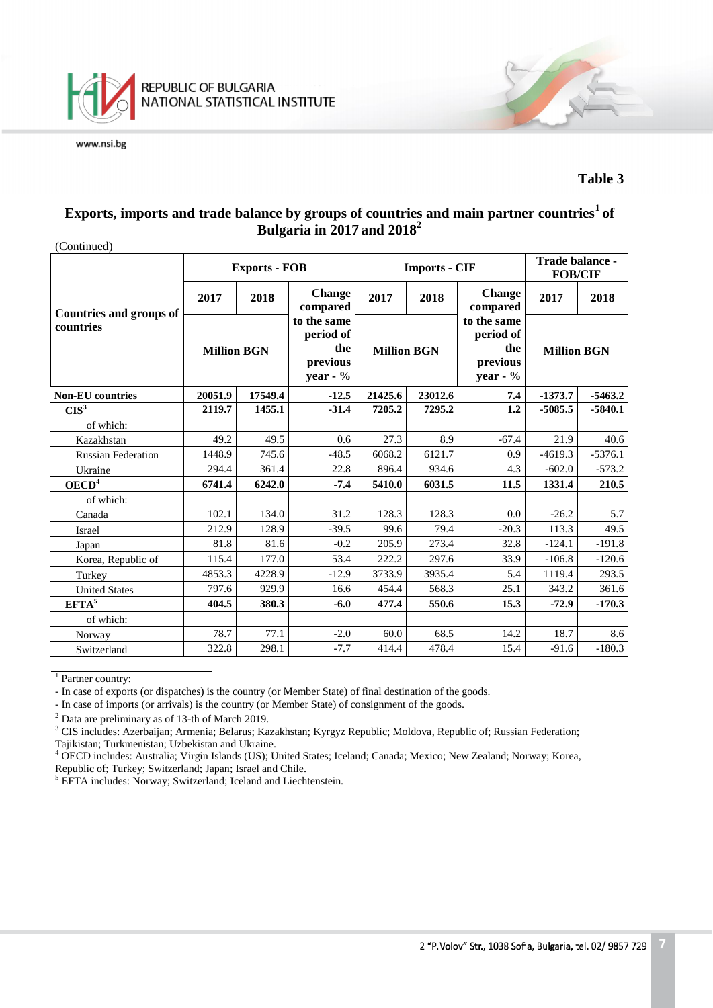

### **Table 3**

### **Exports, imports and trade balance by groups of countries and main partner countries<sup>1</sup>of Bulgaria in 2017 and 2018 2**

(Continued)

|                                             |                    | <b>Exports - FOB</b> |                                                           |                    | <b>Imports - CIF</b> | Trade balance -<br><b>FOB/CIF</b>                          |                    |           |
|---------------------------------------------|--------------------|----------------------|-----------------------------------------------------------|--------------------|----------------------|------------------------------------------------------------|--------------------|-----------|
|                                             | 2017               | 2018                 | <b>Change</b><br>compared                                 | 2017<br>2018       |                      | <b>Change</b><br>compared                                  | 2017               | 2018      |
| <b>Countries and groups of</b><br>countries | <b>Million BGN</b> |                      | to the same<br>period of<br>the<br>previous<br>year - $%$ | <b>Million BGN</b> |                      | to the same<br>period of<br>the<br>previous<br>year - $\%$ | <b>Million BGN</b> |           |
| <b>Non-EU</b> countries                     | 20051.9            | 17549.4              |                                                           | 21425.6            | 23012.6              | 7.4                                                        | $-1373.7$          | $-5463.2$ |
| CIS <sup>3</sup>                            | 2119.7             | 1455.1               | $-31.4$                                                   | 7205.2             | 7295.2               | 1.2                                                        | $-5085.5$          | $-5840.1$ |
| of which:                                   |                    |                      |                                                           |                    |                      |                                                            |                    |           |
| Kazakhstan                                  | 49.2               | 49.5                 | 0.6                                                       | 27.3               | 8.9                  | $-67.4$                                                    | 21.9               | 40.6      |
| <b>Russian Federation</b>                   | 1448.9             | 745.6                | $-48.5$                                                   | 6068.2             | 6121.7               | 0.9                                                        | $-4619.3$          | $-5376.1$ |
| Ukraine                                     | 294.4<br>361.4     |                      | 22.8                                                      | 896.4              | 934.6                | 4.3                                                        | $-602.0$           | $-573.2$  |
| OECD <sup>4</sup>                           | 6741.4             | 6242.0               | $-7.4$                                                    | 5410.0             | 6031.5               | 11.5                                                       | 1331.4             | 210.5     |
| of which:                                   |                    |                      |                                                           |                    |                      |                                                            |                    |           |
| Canada                                      | 102.1              | 134.0                | 31.2                                                      | 128.3              | 128.3                | 0.0                                                        | $-26.2$            | 5.7       |
| Israel                                      | 212.9              | 128.9                | $-39.5$                                                   | 99.6               | 79.4                 | $-20.3$                                                    | 113.3              | 49.5      |
| Japan                                       | 81.8               | 81.6                 | $-0.2$                                                    | 205.9              | 273.4                | 32.8                                                       | $-124.1$           | $-191.8$  |
| Korea, Republic of                          | 115.4              | 177.0                | 53.4                                                      | 222.2              | 297.6                | 33.9                                                       | $-106.8$           | $-120.6$  |
| Turkey                                      | 4853.3             | 4228.9               | $-12.9$                                                   | 3733.9             | 3935.4               | 5.4                                                        | 1119.4             | 293.5     |
| <b>United States</b>                        | 797.6              | 929.9                | 16.6                                                      | 454.4              | 568.3                | 25.1                                                       | 343.2              | 361.6     |
| EFTA <sup>5</sup>                           | 404.5              | 380.3                | $-6.0$                                                    | 477.4              | 550.6                | 15.3                                                       | $-72.9$            | $-170.3$  |
| of which:                                   |                    |                      |                                                           |                    |                      |                                                            |                    |           |
| Norway                                      | 78.7               | 77.1                 | $-2.0$                                                    | 60.0               | 68.5                 | 14.2                                                       | 18.7               | 8.6       |
| Switzerland                                 | 322.8              | 298.1                | $-7.7$                                                    | 414.4              | 478.4                | 15.4                                                       | $-91.6$            | $-180.3$  |

<sup>1</sup> Partner country:

- In case of exports (or dispatches) is the country (or Member State) of final destination of the goods.

- In case of imports (or arrivals) is the country (or Member State) of consignment of the goods.

<sup>2</sup> Data are preliminary as of 13-th of March 2019.

<sup>3</sup> CIS includes: Azerbaijan; Armenia; Belarus; Kazakhstan; Kyrgyz Republic; Moldova, Republic of; Russian Federation; Tajikistan; Turkmenistan; Uzbekistan and Ukraine.

<sup>4</sup> OECD includes: Australia; Virgin Islands (US); United States; Iceland; Canada; Mexico; New Zealand; Norway; Korea, Republic of; Turkey; Switzerland; Japan; Israel and Chile.

<sup>5</sup> EFTA includes: Norway; Switzerland; Iceland and Liechtenstein.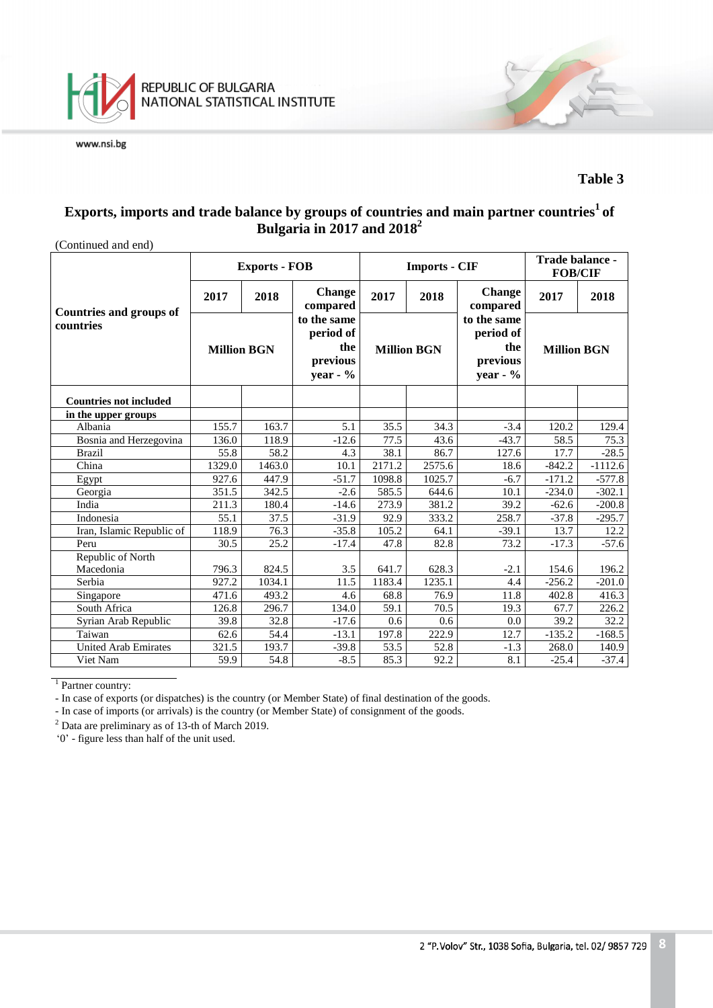

### **Table 3**

## **Exports, imports and trade balance by groups of countries and main partner countries<sup>1</sup>of Bulgaria in 2017 and 2018 2**

| (Continued and end)            |                    |                      |                                                            |        |                      |                                                            |                    |           |
|--------------------------------|--------------------|----------------------|------------------------------------------------------------|--------|----------------------|------------------------------------------------------------|--------------------|-----------|
|                                |                    | <b>Exports - FOB</b> |                                                            |        | <b>Imports - CIF</b> | Trade balance -<br><b>FOB/CIF</b>                          |                    |           |
| <b>Countries and groups of</b> | 2017               | 2018                 | <b>Change</b><br>compared                                  | 2017   | 2018                 | <b>Change</b><br>compared                                  | 2017               | 2018      |
| countries                      | <b>Million BGN</b> |                      | to the same<br>period of<br>the<br>previous<br>year - $\%$ |        | <b>Million BGN</b>   | to the same<br>period of<br>the<br>previous<br>year - $\%$ | <b>Million BGN</b> |           |
| <b>Countries not included</b>  |                    |                      |                                                            |        |                      |                                                            |                    |           |
| in the upper groups            |                    |                      |                                                            |        |                      |                                                            |                    |           |
| Albania                        | 155.7              | 163.7                | 5.1                                                        | 35.5   | 34.3                 | $-3.4$                                                     | 120.2              | 129.4     |
| Bosnia and Herzegovina         | 136.0              | 118.9                | $-12.6$                                                    | 77.5   | 43.6                 | $-43.7$                                                    | 58.5               | 75.3      |
| <b>Brazil</b>                  | 55.8               | 58.2                 | 4.3                                                        | 38.1   | 86.7                 | 127.6                                                      | 17.7               | $-28.5$   |
| China                          | 1329.0             | 1463.0               | 10.1                                                       | 2171.2 | 2575.6               | 18.6                                                       | $-842.2$           | $-1112.6$ |
| Egypt                          | 927.6              | 447.9                | $-51.7$                                                    | 1098.8 | 1025.7               | $-6.7$                                                     | $-171.2$           | $-577.8$  |
| Georgia                        | 351.5              | 342.5                | $-2.6$                                                     | 585.5  | 644.6                | 10.1                                                       | $-234.0$           | $-302.1$  |
| India                          | 211.3              | 180.4                | $-14.6$                                                    | 273.9  | 381.2                | 39.2                                                       | $-62.6$            | $-200.8$  |
| Indonesia                      | 55.1               | 37.5                 | $-31.9$                                                    | 92.9   | 333.2                | 258.7                                                      | $-37.8$            | $-295.7$  |
| Iran, Islamic Republic of      | 118.9              | 76.3                 | $-35.8$                                                    | 105.2  | 64.1                 | $-39.1$                                                    | 13.7               | 12.2      |
| Peru                           | 30.5               | 25.2                 | $-17.4$                                                    | 47.8   | 82.8                 | 73.2                                                       | $-17.3$            | $-57.6$   |
| Republic of North              |                    |                      |                                                            |        |                      |                                                            |                    |           |
| Macedonia                      | 796.3              | 824.5                | 3.5                                                        | 641.7  | 628.3                | $-2.1$                                                     | 154.6              | 196.2     |
| Serbia                         | 927.2              | 1034.1               | 11.5                                                       | 1183.4 | 1235.1               | 4.4                                                        | $-256.2$           | $-201.0$  |
| Singapore                      | 471.6              | 493.2                | 4.6                                                        | 68.8   | 76.9                 | 11.8                                                       | 402.8              | 416.3     |
| South Africa                   | 126.8              | 296.7                | 134.0                                                      | 59.1   | 70.5                 | 19.3                                                       | 67.7               | 226.2     |
| Syrian Arab Republic           | 39.8               | 32.8                 | $-17.6$                                                    | 0.6    | 0.6                  | 0.0                                                        | 39.2               | 32.2      |
| Taiwan                         | 62.6               | 54.4                 | $-13.1$                                                    | 197.8  | 222.9                | 12.7                                                       | $-135.2$           | $-168.5$  |
| <b>United Arab Emirates</b>    | 321.5              | 193.7                | $-39.8$                                                    | 53.5   | 52.8                 | $-1.3$                                                     | 268.0              | 140.9     |
| Viet Nam                       | 59.9               | 54.8                 | $-8.5$                                                     | 85.3   | 92.2                 | 8.1                                                        | $-25.4$            | $-37.4$   |

<sup>1</sup> Partner country:

- In case of exports (or dispatches) is the country (or Member State) of final destination of the goods.

- In case of imports (or arrivals) is the country (or Member State) of consignment of the goods.

<sup>2</sup> Data are preliminary as of 13-th of March 2019.

'0' - figure less than half of the unit used.